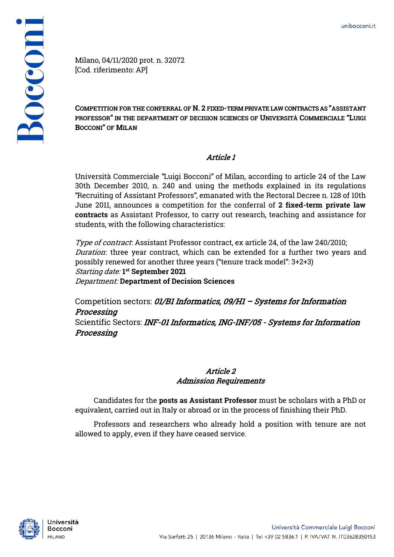

Milano, 04/11/2020 prot. n. 32072 [Cod. riferimento: AP]

**COMPETITION FOR THE CONFERRAL OF N. 2 FIXED-TERM PRIVATE LAW CONTRACTS AS "ASSISTANT PROFESSOR" IN THE DEPARTMENT OF DECISION SCIENCES OF UNIVERSITÀ COMMERCIALE "LUIGI BOCCONI" OF MILAN**

# Article 1

Università Commerciale "Luigi Bocconi" of Milan, according to article 24 of the Law 30th December 2010, n. 240 and using the methods explained in its regulations "Recruiting of Assistant Professors", emanated with the Rectoral Decree n. 128 of 10th June 2011, announces a competition for the conferral of **2 fixed-term private law contracts** as Assistant Professor, to carry out research, teaching and assistance for students, with the following characteristics:

Type of contract: Assistant Professor contract, ex article 24, of the law 240/2010; Duration: three year contract, which can be extended for a further two years and possibly renewed for another three years ("tenure track model": 3+2+3) Starting date: **1 st September 2021** Department: **Department of Decision Sciences** 

Competition sectors: 01/B1 Informatics, 09/H1 - Systems for Information Processing

Scientific Sectors: INF-01 Informatics, ING-INF/05 - Systems for Information Processing

## Article 2 Admission Requirements

Candidates for the **posts as Assistant Professor** must be scholars with a PhD or equivalent, carried out in Italy or abroad or in the process of finishing their PhD.

Professors and researchers who already hold a position with tenure are not allowed to apply, even if they have ceased service.

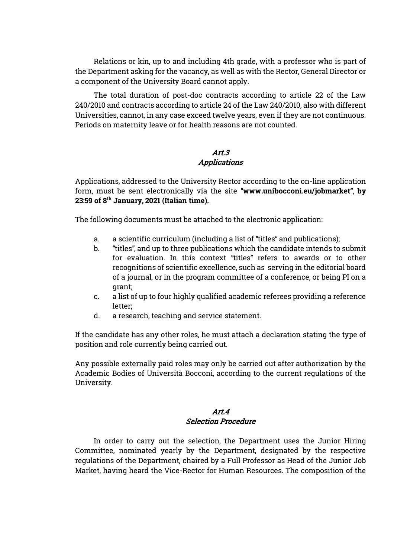Relations or kin, up to and including 4th grade, with a professor who is part of the Department asking for the vacancy, as well as with the Rector, General Director or a component of the University Board cannot apply.

The total duration of post-doc contracts according to article 22 of the Law 240/2010 and contracts according to article 24 of the Law 240/2010, also with different Universities, cannot, in any case exceed twelve years, even if they are not continuous. Periods on maternity leave or for health reasons are not counted.

## Art.3 Applications

Applications, addressed to the University Rector according to the on-line application form, must be sent electronically via the site **"www.unibocconi.eu/jobmarket"**, **by 23:59 of 8th January, 2021 (Italian time)**.

The following documents must be attached to the electronic application:

- a. a scientific curriculum (including a list of "titles" and publications);
- b. "titles", and up to three publications which the candidate intends to submit for evaluation. In this context "titles" refers to awards or to other recognitions of scientific excellence, such as serving in the editorial board of a journal, or in the program committee of a conference, or being PI on a grant;
- c. a list of up to four highly qualified academic referees providing a reference letter;
- d. a research, teaching and service statement.

If the candidate has any other roles, he must attach a declaration stating the type of position and role currently being carried out.

Any possible externally paid roles may only be carried out after authorization by the Academic Bodies of Università Bocconi, according to the current regulations of the University.

#### Art.4 Selection Procedure

In order to carry out the selection, the Department uses the Junior Hiring Committee, nominated yearly by the Department, designated by the respective regulations of the Department, chaired by a Full Professor as Head of the Junior Job Market, having heard the Vice-Rector for Human Resources. The composition of the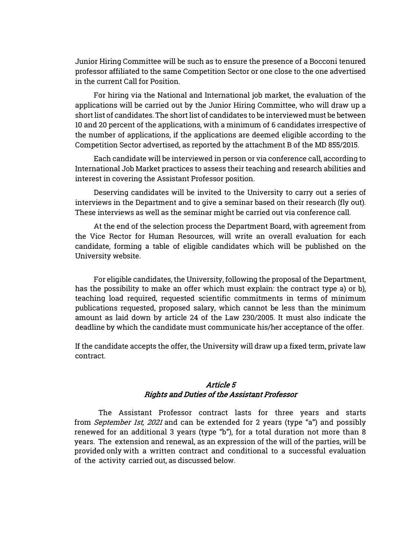Junior Hiring Committee will be such as to ensure the presence of a Bocconi tenured professor affiliated to the same Competition Sector or one close to the one advertised in the current Call for Position.

For hiring via the National and International job market, the evaluation of the applications will be carried out by the Junior Hiring Committee, who will draw up a short list of candidates. The short list of candidates to be interviewed must be between 10 and 20 percent of the applications, with a minimum of 6 candidates irrespective of the number of applications, if the applications are deemed eligible according to the Competition Sector advertised, as reported by the attachment B of the MD 855/2015.

Each candidate will be interviewed in person or via conference call, according to International Job Market practices to assess their teaching and research abilities and interest in covering the Assistant Professor position.

Deserving candidates will be invited to the University to carry out a series of interviews in the Department and to give a seminar based on their research (fly out). These interviews as well as the seminar might be carried out via conference call.

At the end of the selection process the Department Board, with agreement from the Vice Rector for Human Resources, will write an overall evaluation for each candidate, forming a table of eligible candidates which will be published on the University website.

For eligible candidates, the University, following the proposal of the Department, has the possibility to make an offer which must explain: the contract type a) or b), teaching load required, requested scientific commitments in terms of minimum publications requested, proposed salary, which cannot be less than the minimum amount as laid down by article 24 of the Law 230/2005. It must also indicate the deadline by which the candidate must communicate his/her acceptance of the offer.

If the candidate accepts the offer, the University will draw up a fixed term, private law contract.

#### Article 5 Rights and Duties of the Assistant Professor

The Assistant Professor contract lasts for three years and starts from September 1st, 2021 and can be extended for 2 years (type "a") and possibly renewed for an additional 3 years (type "b"), for a total duration not more than 8 years. The extension and renewal, as an expression of the will of the parties, will be provided only with a written contract and conditional to a successful evaluation of the activity carried out, as discussed below.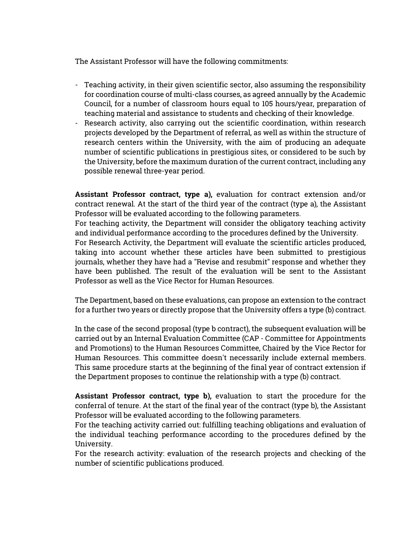The Assistant Professor will have the following commitments:

- Teaching activity, in their given scientific sector, also assuming the responsibility for coordination course of multi-class courses, as agreed annually by the Academic Council, for a number of classroom hours equal to 105 hours/year, preparation of teaching material and assistance to students and checking of their knowledge.
- Research activity, also carrying out the scientific coordination, within research projects developed by the Department of referral, as well as within the structure of research centers within the University, with the aim of producing an adequate number of scientific publications in prestigious sites, or considered to be such by the University, before the maximum duration of the current contract, including any possible renewal three-year period.

**Assistant Professor contract, type a),** evaluation for contract extension and/or contract renewal. At the start of the third year of the contract (type a), the Assistant Professor will be evaluated according to the following parameters.

For teaching activity, the Department will consider the obligatory teaching activity and individual performance according to the procedures defined by the University.

For Research Activity, the Department will evaluate the scientific articles produced, taking into account whether these articles have been submitted to prestigious journals, whether they have had a "Revise and resubmit" response and whether they have been published. The result of the evaluation will be sent to the Assistant Professor as well as the Vice Rector for Human Resources.

The Department, based on these evaluations, can propose an extension to the contract for a further two years or directly propose that the University offers a type (b) contract.

In the case of the second proposal (type b contract), the subsequent evaluation will be carried out by an Internal Evaluation Committee (CAP - Committee for Appointments and Promotions) to the Human Resources Committee, Chaired by the Vice Rector for Human Resources. This committee doesn't necessarily include external members. This same procedure starts at the beginning of the final year of contract extension if the Department proposes to continue the relationship with a type (b) contract.

**Assistant Professor contract, type b),** evaluation to start the procedure for the conferral of tenure. At the start of the final year of the contract (type b), the Assistant Professor will be evaluated according to the following parameters.

For the teaching activity carried out: fulfilling teaching obligations and evaluation of the individual teaching performance according to the procedures defined by the University.

For the research activity: evaluation of the research projects and checking of the number of scientific publications produced.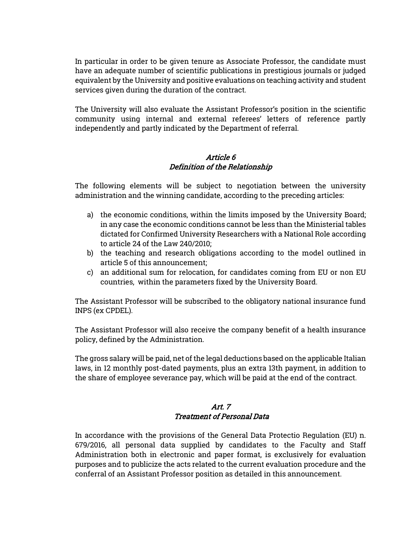In particular in order to be given tenure as Associate Professor, the candidate must have an adequate number of scientific publications in prestigious journals or judged equivalent by the University and positive evaluations on teaching activity and student services given during the duration of the contract.

The University will also evaluate the Assistant Professor's position in the scientific community using internal and external referees' letters of reference partly independently and partly indicated by the Department of referral.

## Article 6 Definition of the Relationship

The following elements will be subject to negotiation between the university administration and the winning candidate, according to the preceding articles:

- a) the economic conditions, within the limits imposed by the University Board; in any case the economic conditions cannot be less than the Ministerial tables dictated for Confirmed University Researchers with a National Role according to article 24 of the Law 240/2010;
- b) the teaching and research obligations according to the model outlined in article 5 of this announcement;
- c) an additional sum for relocation, for candidates coming from EU or non EU countries, within the parameters fixed by the University Board.

The Assistant Professor will be subscribed to the obligatory national insurance fund INPS (ex CPDEL).

The Assistant Professor will also receive the company benefit of a health insurance policy, defined by the Administration.

The gross salary will be paid, net of the legal deductions based on the applicable Italian laws, in 12 monthly post-dated payments, plus an extra 13th payment, in addition to the share of employee severance pay, which will be paid at the end of the contract.

## Art. 7 Treatment of Personal Data

In accordance with the provisions of the General Data Protectio Regulation (EU) n. 679/2016, all personal data supplied by candidates to the Faculty and Staff Administration both in electronic and paper format, is exclusively for evaluation purposes and to publicize the acts related to the current evaluation procedure and the conferral of an Assistant Professor position as detailed in this announcement.